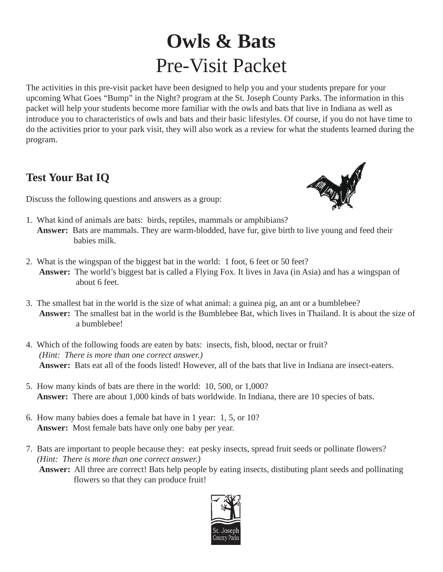## **Owls & Bats** Pre-Visit Packet

The activities in this pre-visit packet have been designed to help you and your students prepare for your upcoming What Goes "Bump" in the Night? program at the St. Joseph County Parks. The information in this packet will help your students become more familiar with the owls and bats that live in Indiana as well as introduce you to characteristics of owls and bats and their basic lifestyles. Of course, if you do not have time to do the activities prior to your park visit, they will also work as a review for what the students learned during the program.

#### **Test Your Bat IQ**

Discuss the following questions and answers as a group:

- 1. What kind of animals are bats: birds, reptiles, mammals or amphibians? **Answer:** Bats are mammals. They are warm-blodded, have fur, give birth to live young and feed their babies milk.
- 2. What is the wingspan of the biggest bat in the world: 1 foot, 6 feet or 50 feet? **Answer:** The world's biggest bat is called a Flying Fox. It lives in Java (in Asia) and has a wingspan of about 6 feet.
- 3. The smallest bat in the world is the size of what animal: a guinea pig, an ant or a bumblebee? **Answer:** The smallest bat in the world is the Bumblebee Bat, which lives in Thailand. It is about the size of a bumblebee!
- 4. Which of the following foods are eaten by bats: insects, fish, blood, nectar or fruit? *(Hint: There is more than one correct answer.)*  **Answer:** Bats eat all of the foods listed! However, all of the bats that live in Indiana are insect-eaters.
- 5. How many kinds of bats are there in the world: 10, 500, or 1,000? **Answer:** There are about 1,000 kinds of bats worldwide. In Indiana, there are 10 species of bats.
- 6. How many babies does a female bat have in 1 year: 1, 5, or 10? **Answer:** Most female bats have only one baby per year.
- 7. Bats are important to people because they: eat pesky insects, spread fruit seeds or pollinate flowers? *(Hint: There is more than one correct answer.)* **Answer:** All three are correct! Bats help people by eating insects, distibuting plant seeds and pollinating flowers so that they can produce fruit!

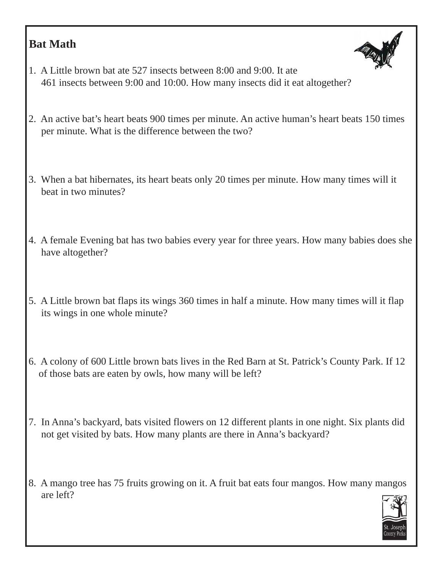#### **Bat Math**



- 1. A Little brown bat ate 527 insects between 8:00 and 9:00. It ate 461 insects between 9:00 and 10:00. How many insects did it eat altogether?
- 2. An active bat's heart beats 900 times per minute. An active human's heart beats 150 times per minute. What is the difference between the two?
- 3. When a bat hibernates, its heart beats only 20 times per minute. How many times will it beat in two minutes?
- 4. A female Evening bat has two babies every year for three years. How many babies does she have altogether?
- 5. A Little brown bat flaps its wings 360 times in half a minute. How many times will it flap its wings in one whole minute?
- 6. A colony of 600 Little brown bats lives in the Red Barn at St. Patrick's County Park. If 12 of those bats are eaten by owls, how many will be left?
- 7. In Anna's backyard, bats visited flowers on 12 different plants in one night. Six plants did not get visited by bats. How many plants are there in Anna's backyard?
- 8. A mango tree has 75 fruits growing on it. A fruit bat eats four mangos. How many mangos are left?

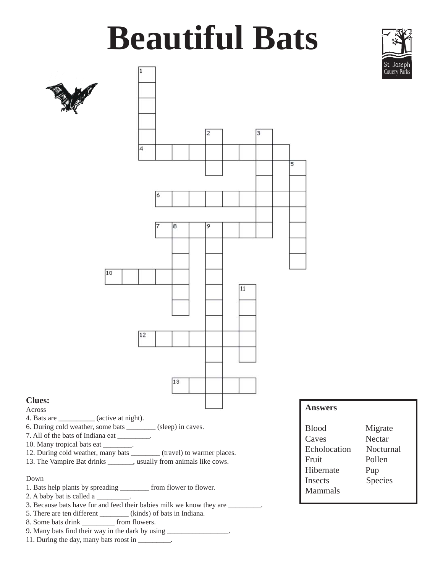## **Beautiful Bats**



#### Down

- 1. Bats help plants by spreading \_\_\_\_\_\_\_\_ from flower to flower.
- 2. A baby bat is called a \_\_\_\_\_\_\_\_\_.
- 3. Because bats have fur and feed their babies milk we know they are \_\_\_\_\_\_\_\_\_.
- 5. There are ten different (kinds) of bats in Indiana.
- 8. Some bats drink \_\_\_\_\_\_\_\_\_ from flowers.
- 9. Many bats find their way in the dark by using \_\_\_\_\_\_\_\_\_\_\_\_\_\_\_\_\_\_\_\_\_\_\_\_\_\_\_\_\_\_\_
- 11. During the day, many bats roost in \_\_\_\_\_\_\_\_.

| <b>Blood</b>   | Migrate   |
|----------------|-----------|
| Caves          | Nectar    |
| Echolocation   | Nocturnal |
| Fruit          | Pollen    |
| Hibernate      | Pup       |
| <b>Insects</b> | Species   |
| Mammals        |           |
|                |           |

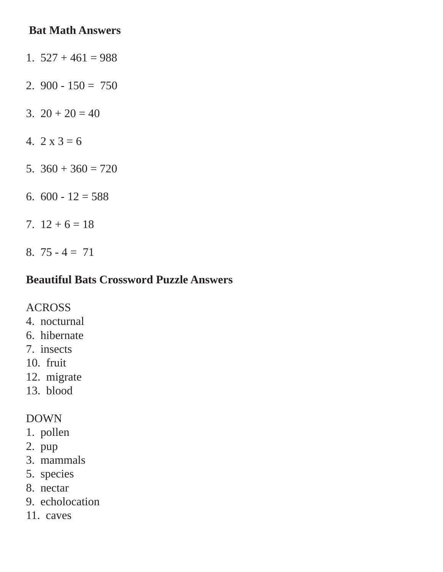#### **Bat Math Answers**

- 1.  $527 + 461 = 988$
- 2.  $900 150 = 750$
- 3.  $20 + 20 = 40$
- 4.  $2 \times 3 = 6$
- 5.  $360 + 360 = 720$
- 6.  $600 12 = 588$
- 7.  $12 + 6 = 18$
- 8.  $75 4 = 71$

#### **Beautiful Bats Crossword Puzzle Answers**

#### ACROSS

- 4. nocturnal
- 6. hibernate
- 7. insects
- 10. fruit
- 12. migrate
- 13. blood

#### DOWN

- 1. pollen
- 2. pup
- 3. mammals
- 5. species
- 8. nectar
- 9. echolocation
- 11. caves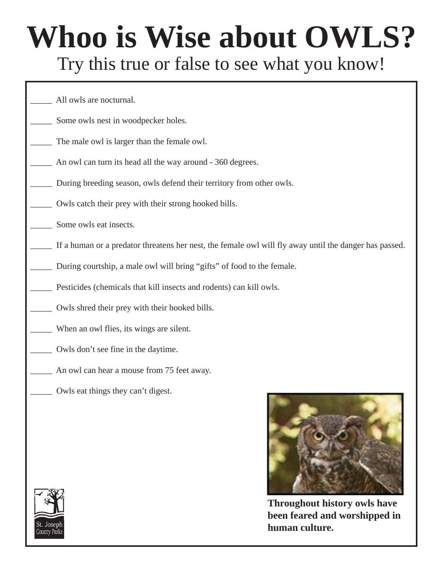## **Whoo is Wise about OWLS?** Try this true or false to see what you know!

All owls are nocturnal. Some owls nest in woodpecker holes. The male owl is larger than the female owl. An owl can turn its head all the way around - 360 degrees. During breeding season, owls defend their territory from other owls. Owls catch their prey with their strong hooked bills. Some owls eat insects. If a human or a predator threatens her nest, the female owl will fly away until the danger has passed. During courtship, a male owl will bring "gifts" of food to the female. Pesticides (chemicals that kill insects and rodents) can kill owls. Owls shred their prey with their hooked bills. When an owl flies, its wings are silent. \_\_\_\_\_ Owls don't see fine in the daytime. An owl can hear a mouse from 75 feet away. \_\_\_\_\_ Owls eat things they can't digest.



**Throughout history owls have been feared and worshipped in human culture.**

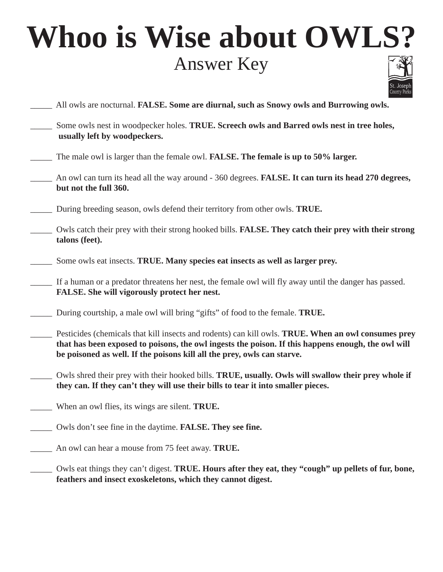## **Whoo is Wise about OWLS?** Answer Key



- \_\_\_\_\_ All owls are nocturnal. **FALSE. Some are diurnal, such as Snowy owls and Burrowing owls.**
- \_\_\_\_\_ Some owls nest in woodpecker holes. **TRUE. Screech owls and Barred owls nest in tree holes, usually left by woodpeckers.**
- \_\_\_\_\_ The male owl is larger than the female owl. **FALSE. The female is up to 50% larger.**
- \_\_\_\_\_ An owl can turn its head all the way around 360 degrees. **FALSE. It can turn its head 270 degrees, but not the full 360.**
- \_\_\_\_\_ During breeding season, owls defend their territory from other owls. **TRUE.**
- \_\_\_\_\_ Owls catch their prey with their strong hooked bills. **FALSE. They catch their prey with their strong talons (feet).**
- \_\_\_\_\_ Some owls eat insects. **TRUE. Many species eat insects as well as larger prey.**
- \_\_\_\_\_ If a human or a predator threatens her nest, the female owl will fly away until the danger has passed. **FALSE. She will vigorously protect her nest.**
- \_\_\_\_\_ During courtship, a male owl will bring "gifts" of food to the female. **TRUE.**
- \_\_\_\_\_ Pesticides (chemicals that kill insects and rodents) can kill owls. **TRUE. When an owl consumes prey that has been exposed to poisons, the owl ingests the poison. If this happens enough, the owl will be poisoned as well. If the poisons kill all the prey, owls can starve.**
- \_\_\_\_\_ Owls shred their prey with their hooked bills. **TRUE, usually. Owls will swallow their prey whole if they can. If they can't they will use their bills to tear it into smaller pieces.**
- \_\_\_\_\_ When an owl flies, its wings are silent. **TRUE.**
- \_\_\_\_\_ Owls don't see fine in the daytime. **FALSE. They see fine.**
- \_\_\_\_\_ An owl can hear a mouse from 75 feet away. **TRUE.**
- \_\_\_\_\_ Owls eat things they can't digest. **TRUE. Hours after they eat, they "cough" up pellets of fur, bone, feathers and insect exoskeletons, which they cannot digest.**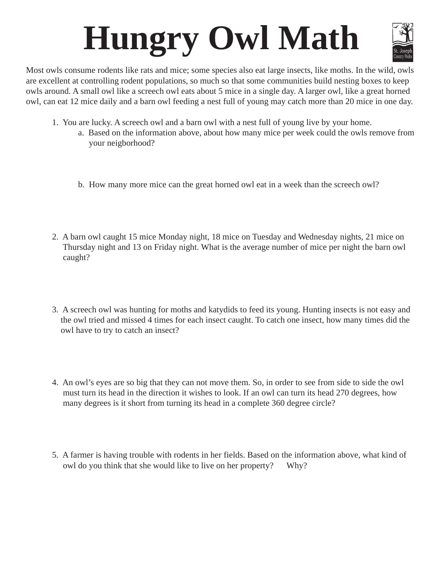# **Hungry Owl Math**



Most owls consume rodents like rats and mice; some species also eat large insects, like moths. In the wild, owls are excellent at controlling rodent populations, so much so that some communities build nesting boxes to keep owls around. A small owl like a screech owl eats about 5 mice in a single day. A larger owl, like a great horned owl, can eat 12 mice daily and a barn owl feeding a nest full of young may catch more than 20 mice in one day.

- 1. You are lucky. A screech owl and a barn owl with a nest full of young live by your home.
	- a. Based on the information above, about how many mice per week could the owls remove from your neigborhood?
	- b. How many more mice can the great horned owl eat in a week than the screech owl?
- 2. A barn owl caught 15 mice Monday night, 18 mice on Tuesday and Wednesday nights, 21 mice on Thursday night and 13 on Friday night. What is the average number of mice per night the barn owl caught?
- 3. A screech owl was hunting for moths and katydids to feed its young. Hunting insects is not easy and the owl tried and missed 4 times for each insect caught. To catch one insect, how many times did the owl have to try to catch an insect?
- 4. An owl's eyes are so big that they can not move them. So, in order to see from side to side the owl must turn its head in the direction it wishes to look. If an owl can turn its head 270 degrees, how many degrees is it short from turning its head in a complete 360 degree circle?
- 5. A farmer is having trouble with rodents in her fields. Based on the information above, what kind of owl do you think that she would like to live on her property? Why?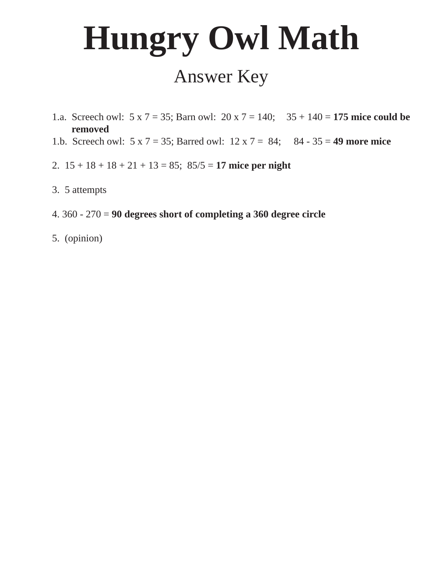# **Hungry Owl Math**

### Answer Key

- 1.a. Screech owl: 5 x 7 = 35; Barn owl: 20 x 7 = 140; 35 + 140 = **175 mice could be removed**
- 1.b. Screech owl: 5 x 7 = 35; Barred owl: 12 x 7 = 84; 84 35 = **49 more mice**
- 2. 15 + 18 + 18 + 21 + 13 = 85; 85/5 = **17 mice per night**
- 3. 5 attempts
- 4. 360 270 = **90 degrees short of completing a 360 degree circle**
- 5. (opinion)